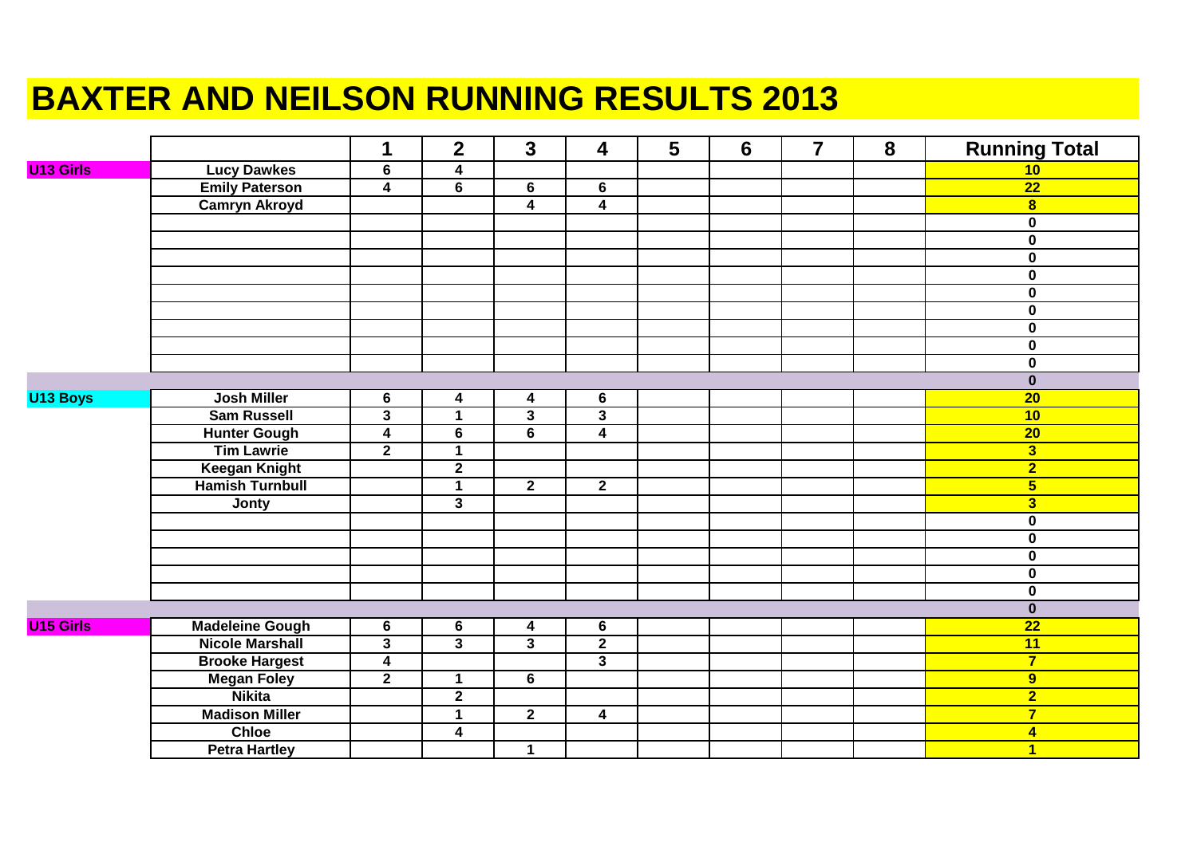## **BAXTER AND NEILSON RUNNING RESULTS 2013**

|                  |                        | 1                       | $\overline{2}$          | $\mathbf{3}$            | $\overline{\mathbf{4}}$ | 5 | $6\phantom{1}$ | $\overline{7}$ | 8 | <b>Running Total</b>    |
|------------------|------------------------|-------------------------|-------------------------|-------------------------|-------------------------|---|----------------|----------------|---|-------------------------|
| <b>U13 Girls</b> | <b>Lucy Dawkes</b>     | $6\phantom{1}$          | $\boldsymbol{4}$        |                         |                         |   |                |                |   | 10                      |
|                  | <b>Emily Paterson</b>  | $\overline{4}$          | $6\phantom{1}$          | 6                       | $6\phantom{1}$          |   |                |                |   | $\overline{22}$         |
|                  | <b>Camryn Akroyd</b>   |                         |                         | $\overline{\mathbf{4}}$ | 4                       |   |                |                |   | 8 <sup>1</sup>          |
|                  |                        |                         |                         |                         |                         |   |                |                |   | $\mathbf 0$             |
|                  |                        |                         |                         |                         |                         |   |                |                |   | $\overline{\mathbf{0}}$ |
|                  |                        |                         |                         |                         |                         |   |                |                |   | $\mathbf 0$             |
|                  |                        |                         |                         |                         |                         |   |                |                |   | $\pmb{0}$               |
|                  |                        |                         |                         |                         |                         |   |                |                |   | $\mathbf 0$             |
|                  |                        |                         |                         |                         |                         |   |                |                |   | $\pmb{0}$               |
|                  |                        |                         |                         |                         |                         |   |                |                |   | $\mathbf 0$             |
|                  |                        |                         |                         |                         |                         |   |                |                |   | $\mathbf 0$             |
|                  |                        |                         |                         |                         |                         |   |                |                |   | $\mathbf 0$             |
|                  |                        |                         |                         |                         |                         |   |                |                |   | $\mathbf 0$             |
| U13 Boys         | <b>Josh Miller</b>     | $6\phantom{1}$          | $\boldsymbol{4}$        | $\blacktriangleleft$    | 6                       |   |                |                |   | $\overline{20}$         |
|                  | <b>Sam Russell</b>     | $\overline{\mathbf{3}}$ | 1                       | $\overline{\mathbf{3}}$ | 3                       |   |                |                |   | 10                      |
|                  | <b>Hunter Gough</b>    | $\overline{4}$          | $\overline{\mathbf{6}}$ | $\overline{6}$          | $\overline{4}$          |   |                |                |   | $\overline{20}$         |
|                  | <b>Tim Lawrie</b>      | $\overline{2}$          | $\mathbf{1}$            |                         |                         |   |                |                |   | 3                       |
|                  | <b>Keegan Knight</b>   |                         | $\overline{2}$          |                         |                         |   |                |                |   | $\overline{2}$          |
|                  | <b>Hamish Turnbull</b> |                         | $\overline{1}$          | $\overline{2}$          | $\overline{2}$          |   |                |                |   | $\overline{\mathbf{5}}$ |
|                  | <b>Jonty</b>           |                         | $\overline{\mathbf{3}}$ |                         |                         |   |                |                |   | $\overline{\mathbf{3}}$ |
|                  |                        |                         |                         |                         |                         |   |                |                |   | $\pmb{0}$               |
|                  |                        |                         |                         |                         |                         |   |                |                |   | $\mathbf 0$             |
|                  |                        |                         |                         |                         |                         |   |                |                |   | $\overline{\mathbf{0}}$ |
|                  |                        |                         |                         |                         |                         |   |                |                |   | $\overline{\mathbf{0}}$ |
|                  |                        |                         |                         |                         |                         |   |                |                |   | $\overline{\mathbf{0}}$ |
|                  |                        |                         |                         |                         |                         |   |                |                |   | $\mathbf 0$             |
| <b>U15 Girls</b> | <b>Madeleine Gough</b> | 6                       | $\overline{6}$          | $\overline{\mathbf{4}}$ | $\bf 6$                 |   |                |                |   | $\overline{22}$         |
|                  | <b>Nicole Marshall</b> | $\overline{3}$          | $\overline{\mathbf{3}}$ | $\overline{3}$          | $\overline{2}$          |   |                |                |   | 11                      |
|                  | <b>Brooke Hargest</b>  | $\overline{4}$          |                         |                         | $\overline{\mathbf{3}}$ |   |                |                |   | $\overline{7}$          |
|                  | <b>Megan Foley</b>     | $\overline{2}$          | $\mathbf 1$             | 6                       |                         |   |                |                |   | $\overline{9}$          |
|                  | <b>Nikita</b>          |                         | $\overline{2}$          |                         |                         |   |                |                |   | $\overline{2}$          |
|                  | <b>Madison Miller</b>  |                         | $\overline{1}$          | $\overline{2}$          | $\overline{\mathbf{4}}$ |   |                |                |   | $\overline{7}$          |
|                  | <b>Chloe</b>           |                         | $\overline{\mathbf{4}}$ |                         |                         |   |                |                |   | $\overline{\mathbf{4}}$ |
|                  | <b>Petra Hartley</b>   |                         |                         | $\mathbf 1$             |                         |   |                |                |   | $\mathbf{1}$            |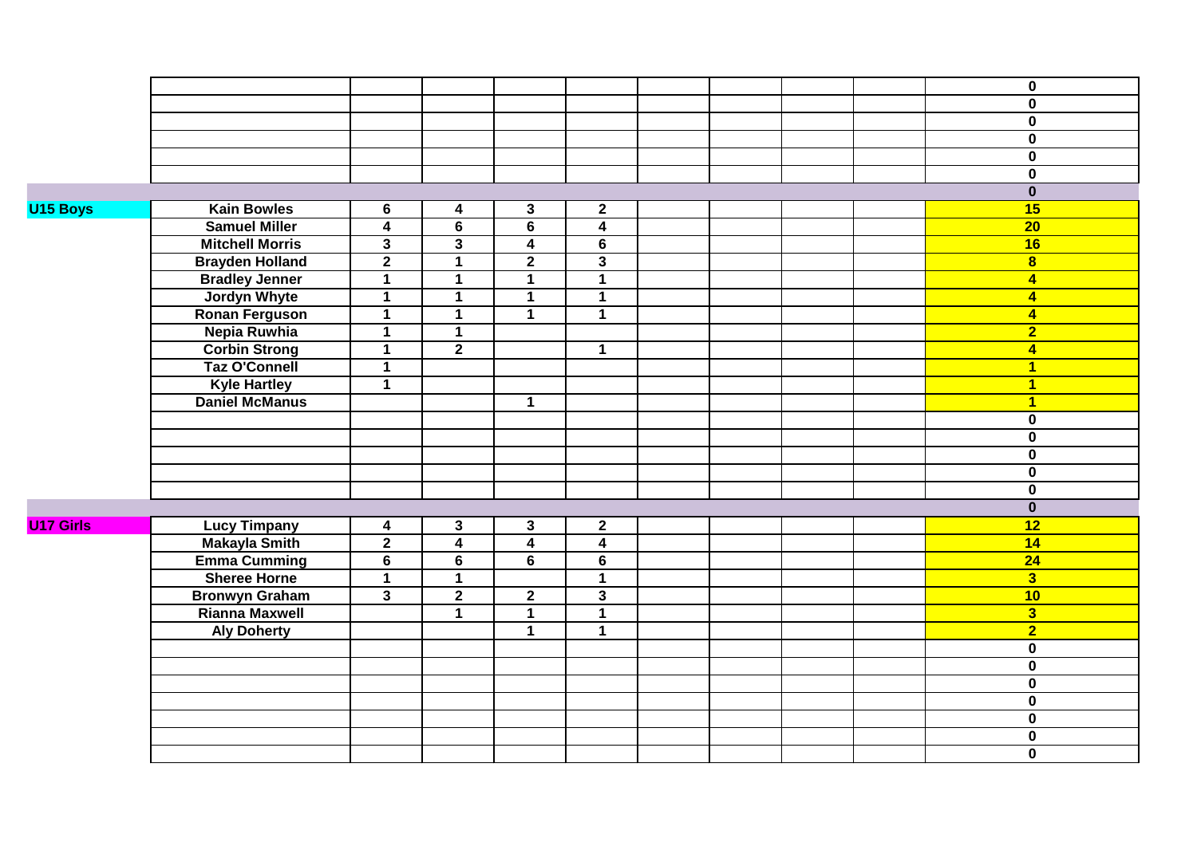|                  |                        |                         |                |                         |                         |  |  | $\mathbf 0$             |
|------------------|------------------------|-------------------------|----------------|-------------------------|-------------------------|--|--|-------------------------|
|                  |                        |                         |                |                         |                         |  |  | $\mathbf 0$             |
|                  |                        |                         |                |                         |                         |  |  | $\overline{\mathbf{0}}$ |
|                  |                        |                         |                |                         |                         |  |  | $\overline{\mathbf{0}}$ |
|                  |                        |                         |                |                         |                         |  |  | $\overline{\mathbf{0}}$ |
|                  |                        |                         |                |                         |                         |  |  | $\mathbf 0$             |
|                  |                        |                         |                |                         |                         |  |  | $\overline{\mathbf{0}}$ |
| U15 Boys         | <b>Kain Bowles</b>     | 6                       | 4              | $\mathbf{3}$            | $\overline{2}$          |  |  | 15                      |
|                  | <b>Samuel Miller</b>   | $\overline{\mathbf{4}}$ | 6              | $\overline{\mathbf{6}}$ | $\overline{4}$          |  |  | $\overline{20}$         |
|                  | <b>Mitchell Morris</b> | $\overline{3}$          | $\mathbf{3}$   | $\overline{4}$          | $\overline{6}$          |  |  | 16                      |
|                  | <b>Brayden Holland</b> | $\overline{2}$          | $\mathbf{1}$   | $\overline{2}$          | $\overline{3}$          |  |  | $\overline{\mathbf{8}}$ |
|                  | <b>Bradley Jenner</b>  | $\mathbf 1$             | $\mathbf{1}$   | $\mathbf{1}$            | $\overline{1}$          |  |  | $\overline{4}$          |
|                  | <b>Jordyn Whyte</b>    | $\mathbf 1$             | $\mathbf 1$    | $\mathbf 1$             | $\mathbf 1$             |  |  | $\overline{\mathbf{4}}$ |
|                  | <b>Ronan Ferguson</b>  | $\mathbf 1$             | $\mathbf{1}$   | $\overline{1}$          | $\overline{1}$          |  |  | $\overline{\mathbf{4}}$ |
|                  | Nepia Ruwhia           | $\mathbf{1}$            | $\mathbf 1$    |                         |                         |  |  | $\overline{2}$          |
|                  | <b>Corbin Strong</b>   | $\overline{1}$          | $\overline{2}$ |                         | $\mathbf 1$             |  |  | $\overline{4}$          |
|                  | <b>Taz O'Connell</b>   | $\mathbf{1}$            |                |                         |                         |  |  | $\overline{1}$          |
|                  | <b>Kyle Hartley</b>    | $\overline{1}$          |                |                         |                         |  |  | $\overline{1}$          |
|                  | <b>Daniel McManus</b>  |                         |                | $\mathbf{1}$            |                         |  |  | $\overline{1}$          |
|                  |                        |                         |                |                         |                         |  |  | $\mathbf 0$             |
|                  |                        |                         |                |                         |                         |  |  | $\overline{\mathbf{0}}$ |
|                  |                        |                         |                |                         |                         |  |  | $\mathbf 0$             |
|                  |                        |                         |                |                         |                         |  |  | $\mathbf 0$             |
|                  |                        |                         |                |                         |                         |  |  | $\mathbf 0$             |
|                  |                        |                         |                |                         |                         |  |  | $\overline{\mathbf{0}}$ |
| <b>U17 Girls</b> | <b>Lucy Timpany</b>    | $\overline{\mathbf{4}}$ | $\mathbf{3}$   | $\mathbf{3}$            | $\overline{2}$          |  |  | $\overline{12}$         |
|                  | <b>Makayla Smith</b>   | $\overline{2}$          | $\overline{4}$ | $\overline{4}$          | $\overline{4}$          |  |  | 14                      |
|                  | <b>Emma Cumming</b>    | $6\phantom{1}$          | 6              | 6                       | $6\phantom{1}$          |  |  | 24                      |
|                  | <b>Sheree Horne</b>    | $\overline{1}$          | $\overline{1}$ |                         | $\overline{1}$          |  |  | $\overline{\mathbf{3}}$ |
|                  | <b>Bronwyn Graham</b>  | $\overline{\mathbf{3}}$ | $\overline{2}$ | $\overline{2}$          | $\overline{\mathbf{3}}$ |  |  | 10                      |
|                  | <b>Rianna Maxwell</b>  |                         | $\mathbf 1$    | $\mathbf{1}$            | $\mathbf{1}$            |  |  | $\overline{\mathbf{3}}$ |
|                  | <b>Aly Doherty</b>     |                         |                | $\overline{1}$          | $\overline{1}$          |  |  | $\overline{2}$          |
|                  |                        |                         |                |                         |                         |  |  | $\overline{\mathbf{0}}$ |
|                  |                        |                         |                |                         |                         |  |  | $\overline{\mathbf{0}}$ |
|                  |                        |                         |                |                         |                         |  |  | $\mathbf 0$             |
|                  |                        |                         |                |                         |                         |  |  | $\overline{\mathbf{0}}$ |
|                  |                        |                         |                |                         |                         |  |  | $\overline{\mathbf{0}}$ |
|                  |                        |                         |                |                         |                         |  |  | $\overline{\mathbf{0}}$ |
|                  |                        |                         |                |                         |                         |  |  | $\overline{\mathbf{0}}$ |